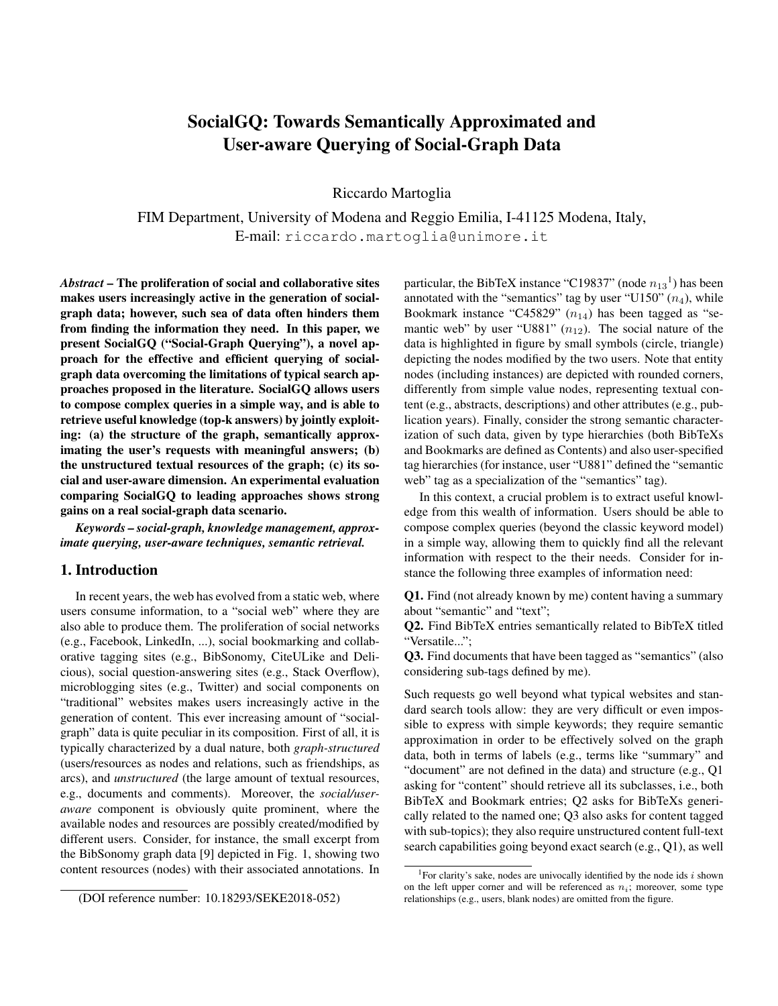# SocialGQ: Towards Semantically Approximated and User-aware Querying of Social-Graph Data

Riccardo Martoglia

FIM Department, University of Modena and Reggio Emilia, I-41125 Modena, Italy, E-mail: riccardo.martoglia@unimore.it

*Abstract* – The proliferation of social and collaborative sites makes users increasingly active in the generation of socialgraph data; however, such sea of data often hinders them from finding the information they need. In this paper, we present SocialGQ ("Social-Graph Querying"), a novel approach for the effective and efficient querying of socialgraph data overcoming the limitations of typical search approaches proposed in the literature. SocialGQ allows users to compose complex queries in a simple way, and is able to retrieve useful knowledge (top-k answers) by jointly exploiting: (a) the structure of the graph, semantically approximating the user's requests with meaningful answers; (b) the unstructured textual resources of the graph; (c) its social and user-aware dimension. An experimental evaluation comparing SocialGQ to leading approaches shows strong gains on a real social-graph data scenario.

*Keywords – social-graph, knowledge management, approximate querying, user-aware techniques, semantic retrieval.*

# 1. Introduction

In recent years, the web has evolved from a static web, where users consume information, to a "social web" where they are also able to produce them. The proliferation of social networks (e.g., Facebook, LinkedIn, ...), social bookmarking and collaborative tagging sites (e.g., BibSonomy, CiteULike and Delicious), social question-answering sites (e.g., Stack Overflow), microblogging sites (e.g., Twitter) and social components on "traditional" websites makes users increasingly active in the generation of content. This ever increasing amount of "socialgraph" data is quite peculiar in its composition. First of all, it is typically characterized by a dual nature, both *graph-structured* (users/resources as nodes and relations, such as friendships, as arcs), and *unstructured* (the large amount of textual resources, e.g., documents and comments). Moreover, the *social/useraware* component is obviously quite prominent, where the available nodes and resources are possibly created/modified by different users. Consider, for instance, the small excerpt from the BibSonomy graph data [9] depicted in Fig. 1, showing two content resources (nodes) with their associated annotations. In

particular, the BibTeX instance "C19837" (node  $n_{13}$ <sup>1</sup>) has been annotated with the "semantics" tag by user "U150"  $(n_4)$ , while Bookmark instance "C45829"  $(n_{14})$  has been tagged as "semantic web" by user "U881"  $(n_{12})$ . The social nature of the data is highlighted in figure by small symbols (circle, triangle) depicting the nodes modified by the two users. Note that entity nodes (including instances) are depicted with rounded corners, differently from simple value nodes, representing textual content (e.g., abstracts, descriptions) and other attributes (e.g., publication years). Finally, consider the strong semantic characterization of such data, given by type hierarchies (both BibTeXs and Bookmarks are defined as Contents) and also user-specified tag hierarchies (for instance, user "U881" defined the "semantic web" tag as a specialization of the "semantics" tag).

In this context, a crucial problem is to extract useful knowledge from this wealth of information. Users should be able to compose complex queries (beyond the classic keyword model) in a simple way, allowing them to quickly find all the relevant information with respect to the their needs. Consider for instance the following three examples of information need:

Q1. Find (not already known by me) content having a summary about "semantic" and "text";

Q2. Find BibTeX entries semantically related to BibTeX titled "Versatile...";

Q3. Find documents that have been tagged as "semantics" (also considering sub-tags defined by me).

Such requests go well beyond what typical websites and standard search tools allow: they are very difficult or even impossible to express with simple keywords; they require semantic approximation in order to be effectively solved on the graph data, both in terms of labels (e.g., terms like "summary" and "document" are not defined in the data) and structure (e.g., Q1 asking for "content" should retrieve all its subclasses, i.e., both BibTeX and Bookmark entries; Q2 asks for BibTeXs generically related to the named one; Q3 also asks for content tagged with sub-topics); they also require unstructured content full-text search capabilities going beyond exact search (e.g., Q1), as well

<sup>(</sup>DOI reference number: 10.18293/SEKE2018-052)

<sup>&</sup>lt;sup>1</sup>For clarity's sake, nodes are univocally identified by the node ids  $i$  shown on the left upper corner and will be referenced as  $n<sub>i</sub>$ ; moreover, some type relationships (e.g., users, blank nodes) are omitted from the figure.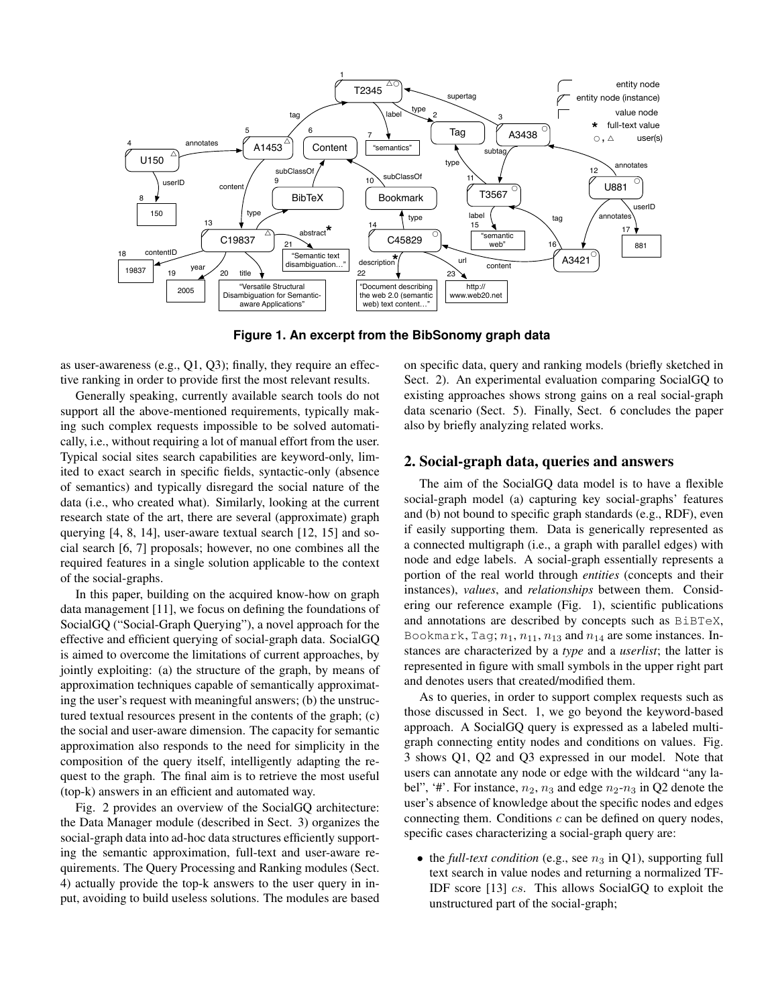

**Figure 1. An excerpt from the BibSonomy graph data**

as user-awareness (e.g., Q1, Q3); finally, they require an effective ranking in order to provide first the most relevant results.

Generally speaking, currently available search tools do not support all the above-mentioned requirements, typically making such complex requests impossible to be solved automatically, i.e., without requiring a lot of manual effort from the user. Typical social sites search capabilities are keyword-only, limited to exact search in specific fields, syntactic-only (absence of semantics) and typically disregard the social nature of the data (i.e., who created what). Similarly, looking at the current research state of the art, there are several (approximate) graph querying [4, 8, 14], user-aware textual search [12, 15] and social search [6, 7] proposals; however, no one combines all the required features in a single solution applicable to the context of the social-graphs.

In this paper, building on the acquired know-how on graph data management [11], we focus on defining the foundations of SocialGQ ("Social-Graph Querying"), a novel approach for the effective and efficient querying of social-graph data. SocialGQ is aimed to overcome the limitations of current approaches, by jointly exploiting: (a) the structure of the graph, by means of approximation techniques capable of semantically approximating the user's request with meaningful answers; (b) the unstructured textual resources present in the contents of the graph; (c) the social and user-aware dimension. The capacity for semantic approximation also responds to the need for simplicity in the composition of the query itself, intelligently adapting the request to the graph. The final aim is to retrieve the most useful (top-k) answers in an efficient and automated way.

Fig. 2 provides an overview of the SocialGQ architecture: the Data Manager module (described in Sect. 3) organizes the social-graph data into ad-hoc data structures efficiently supporting the semantic approximation, full-text and user-aware requirements. The Query Processing and Ranking modules (Sect. 4) actually provide the top-k answers to the user query in input, avoiding to build useless solutions. The modules are based

on specific data, query and ranking models (briefly sketched in Sect. 2). An experimental evaluation comparing SocialGQ to existing approaches shows strong gains on a real social-graph data scenario (Sect. 5). Finally, Sect. 6 concludes the paper also by briefly analyzing related works.

# 2. Social-graph data, queries and answers

The aim of the SocialGQ data model is to have a flexible social-graph model (a) capturing key social-graphs' features and (b) not bound to specific graph standards (e.g., RDF), even if easily supporting them. Data is generically represented as a connected multigraph (i.e., a graph with parallel edges) with node and edge labels. A social-graph essentially represents a portion of the real world through *entities* (concepts and their instances), *values*, and *relationships* between them. Considering our reference example (Fig. 1), scientific publications and annotations are described by concepts such as BiBTeX, Bookmark, Tag;  $n_1$ ,  $n_{11}$ ,  $n_{13}$  and  $n_{14}$  are some instances. Instances are characterized by a *type* and a *userlist*; the latter is represented in figure with small symbols in the upper right part and denotes users that created/modified them.

As to queries, in order to support complex requests such as those discussed in Sect. 1, we go beyond the keyword-based approach. A SocialGQ query is expressed as a labeled multigraph connecting entity nodes and conditions on values. Fig. 3 shows Q1, Q2 and Q3 expressed in our model. Note that users can annotate any node or edge with the wildcard "any label", '#'. For instance,  $n_2$ ,  $n_3$  and edge  $n_2$ - $n_3$  in Q2 denote the user's absence of knowledge about the specific nodes and edges connecting them. Conditions  $c$  can be defined on query nodes, specific cases characterizing a social-graph query are:

• the *full-text condition* (e.g., see  $n_3$  in Q1), supporting full text search in value nodes and returning a normalized TF-IDF score [13] cs. This allows SocialGQ to exploit the unstructured part of the social-graph;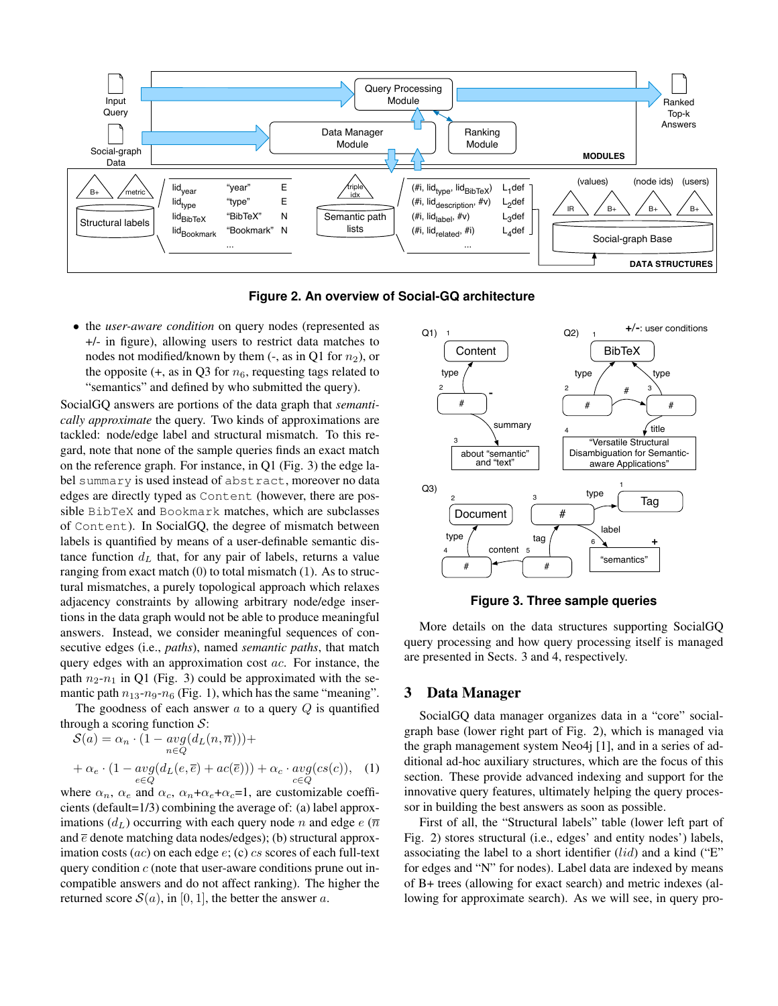

**Figure 2. An overview of Social-GQ architecture**

• the *user-aware condition* on query nodes (represented as +/- in figure), allowing users to restrict data matches to nodes not modified/known by them (-, as in Q1 for  $n_2$ ), or the opposite  $(+, as in Q3$  for  $n_6$ , requesting tags related to "semantics" and defined by who submitted the query).

SocialGQ answers are portions of the data graph that *semantically approximate* the query. Two kinds of approximations are tackled: node/edge label and structural mismatch. To this regard, note that none of the sample queries finds an exact match on the reference graph. For instance, in Q1 (Fig. 3) the edge label summary is used instead of abstract, moreover no data edges are directly typed as Content (however, there are possible BibTeX and Bookmark matches, which are subclasses of Content). In SocialGQ, the degree of mismatch between labels is quantified by means of a user-definable semantic distance function  $d<sub>L</sub>$  that, for any pair of labels, returns a value ranging from exact match (0) to total mismatch (1). As to structural mismatches, a purely topological approach which relaxes adjacency constraints by allowing arbitrary node/edge insertions in the data graph would not be able to produce meaningful answers. Instead, we consider meaningful sequences of consecutive edges (i.e., *paths*), named *semantic paths*, that match query edges with an approximation cost ac. For instance, the path  $n_2-n_1$  in Q1 (Fig. 3) could be approximated with the semantic path  $n_{13}$ - $n_9$ - $n_6$  (Fig. 1), which has the same "meaning".

The goodness of each answer  $\alpha$  to a query  $Q$  is quantified through a scoring function  $S$ :

$$
S(a) = \alpha_n \cdot (1 - \underset{n \in Q}{avg(d_L(n, \overline{n})))} +
$$
  
+  $\alpha_e \cdot (1 - \underset{e \in Q}{avg(d_L(e, \overline{e}) + ac(\overline{e})))} + \alpha_c \cdot \underset{c \in Q}{avg(cs(c))},$  (1)

where  $\alpha_n$ ,  $\alpha_e$  and  $\alpha_c$ ,  $\alpha_n + \alpha_e + \alpha_c = 1$ , are customizable coefficients (default=1/3) combining the average of: (a) label approximations  $(d_L)$  occurring with each query node n and edge  $e(\overline{n})$ and  $\bar{e}$  denote matching data nodes/edges); (b) structural approximation costs  $(ac)$  on each edge  $e$ ;  $(c)$  cs scores of each full-text query condition  $c$  (note that user-aware conditions prune out incompatible answers and do not affect ranking). The higher the returned score  $S(a)$ , in [0, 1], the better the answer a.



**Figure 3. Three sample queries**

More details on the data structures supporting SocialGQ query processing and how query processing itself is managed are presented in Sects. 3 and 4, respectively.

## 3 Data Manager

SocialGQ data manager organizes data in a "core" socialgraph base (lower right part of Fig. 2), which is managed via the graph management system Neo4j [1], and in a series of additional ad-hoc auxiliary structures, which are the focus of this section. These provide advanced indexing and support for the innovative query features, ultimately helping the query processor in building the best answers as soon as possible.

First of all, the "Structural labels" table (lower left part of Fig. 2) stores structural (i.e., edges' and entity nodes') labels, associating the label to a short identifier  $(lid)$  and a kind ("E" for edges and "N" for nodes). Label data are indexed by means of B+ trees (allowing for exact search) and metric indexes (allowing for approximate search). As we will see, in query pro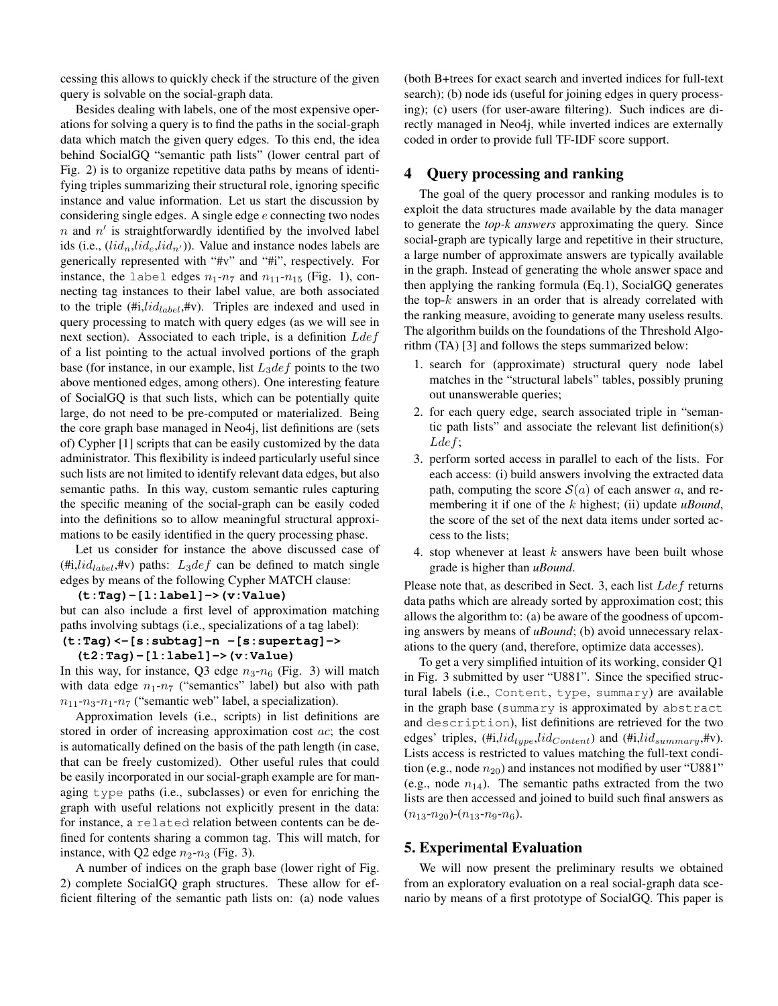cessing this allows to quickly check if the structure of the given query is solvable on the social-graph data.

Besides dealing with labels, one of the most expensive operations for solving a query is to find the paths in the social-graph data which match the given query edges. To this end, the idea behind SocialGQ "semantic path lists" (lower central part of Fig. 2) is to organize repetitive data paths by means of identifying triples summarizing their structural role, ignoring specific instance and value information. Let us start the discussion by considering single edges. A single edge e connecting two nodes  $n$  and  $n'$  is straightforwardly identified by the involved label ids (i.e.,  $(\text{l}id_n, \text{l}id_e, \text{l}id_{n'})$ ). Value and instance nodes labels are generically represented with "#v" and "#i", respectively. For instance, the label edges  $n_1$ - $n_7$  and  $n_{11}$ - $n_{15}$  (Fig. 1), connecting tag instances to their label value, are both associated to the triple  $(\#i, lid_{label}, \#v)$ . Triples are indexed and used in query processing to match with query edges (as we will see in next section). Associated to each triple, is a definition  $Ldef$ of a list pointing to the actual involved portions of the graph base (for instance, in our example, list  $L_3def$  points to the two above mentioned edges, among others). One interesting feature of SocialGQ is that such lists, which can be potentially quite large, do not need to be pre-computed or materialized. Being the core graph base managed in Neo4j, list definitions are (sets of) Cypher [1] scripts that can be easily customized by the data administrator. This flexibility is indeed particularly useful since such lists are not limited to identify relevant data edges, but also semantic paths. In this way, custom semantic rules capturing the specific meaning of the social-graph can be easily coded into the definitions so to allow meaningful structural approximations to be easily identified in the query processing phase.

Let us consider for instance the above discussed case of (#i, $lid_{label}$ ,#v) paths:  $L_3def$  can be defined to match single edges by means of the following Cypher MATCH clause:

#### **(t:Tag)-[l:label]->(v:Value)**

but can also include a first level of approximation matching paths involving subtags (i.e., specializations of a tag label): **(t:Tag)<-[s:subtag]-n -[s:supertag]->**

**(t2:Tag)-[l:label]->(v:Value)**

In this way, for instance, Q3 edge  $n_3-n_6$  (Fig. 3) will match with data edge  $n_1-n_7$  ("semantics" label) but also with path  $n_{11}$ - $n_3$ - $n_1$ - $n_7$  ("semantic web" label, a specialization).

Approximation levels (i.e., scripts) in list definitions are stored in order of increasing approximation cost ac; the cost is automatically defined on the basis of the path length (in case, that can be freely customized). Other useful rules that could be easily incorporated in our social-graph example are for managing type paths (i.e., subclasses) or even for enriching the graph with useful relations not explicitly present in the data: for instance, a related relation between contents can be defined for contents sharing a common tag. This will match, for instance, with Q2 edge  $n_2-n_3$  (Fig. 3).

A number of indices on the graph base (lower right of Fig. 2) complete SocialGQ graph structures. These allow for efficient filtering of the semantic path lists on: (a) node values

(both B+trees for exact search and inverted indices for full-text search); (b) node ids (useful for joining edges in query processing); (c) users (for user-aware filtering). Such indices are directly managed in Neo4j, while inverted indices are externally coded in order to provide full TF-IDF score support.

# 4 Query processing and ranking

The goal of the query processor and ranking modules is to exploit the data structures made available by the data manager to generate the *top-k answers* approximating the query. Since social-graph are typically large and repetitive in their structure, a large number of approximate answers are typically available in the graph. Instead of generating the whole answer space and then applying the ranking formula (Eq.1), SocialGQ generates the top- $k$  answers in an order that is already correlated with the ranking measure, avoiding to generate many useless results. The algorithm builds on the foundations of the Threshold Algorithm (TA) [3] and follows the steps summarized below:

- 1. search for (approximate) structural query node label matches in the "structural labels" tables, possibly pruning out unanswerable queries;
- 2. for each query edge, search associated triple in "semantic path lists" and associate the relevant list definition(s) Lde f;
- 3. perform sorted access in parallel to each of the lists. For each access: (i) build answers involving the extracted data path, computing the score  $S(a)$  of each answer a, and remembering it if one of the k highest; (ii) update *uBound*, the score of the set of the next data items under sorted access to the lists;
- 4. stop whenever at least  $k$  answers have been built whose grade is higher than *uBound*.

Please note that, as described in Sect. 3, each list  $Ldef$  returns data paths which are already sorted by approximation cost; this allows the algorithm to: (a) be aware of the goodness of upcoming answers by means of *uBound*; (b) avoid unnecessary relaxations to the query (and, therefore, optimize data accesses).

To get a very simplified intuition of its working, consider Q1 in Fig. 3 submitted by user "U881". Since the specified structural labels (i.e., Content, type, summary) are available in the graph base (summary is approximated by abstract and description), list definitions are retrieved for the two edges' triples,  $(\text{\#i}, \text{lid}_{type}, \text{lid}_{Content})$  and  $(\text{\#i}, \text{lid}_{summary}, \text{\#v}).$ Lists access is restricted to values matching the full-text condition (e.g., node  $n_{20}$ ) and instances not modified by user "U881" (e.g., node  $n_{14}$ ). The semantic paths extracted from the two lists are then accessed and joined to build such final answers as  $(n_{13}-n_{20})-(n_{13}-n_{9}-n_{6}).$ 

## 5. Experimental Evaluation

We will now present the preliminary results we obtained from an exploratory evaluation on a real social-graph data scenario by means of a first prototype of SocialGQ. This paper is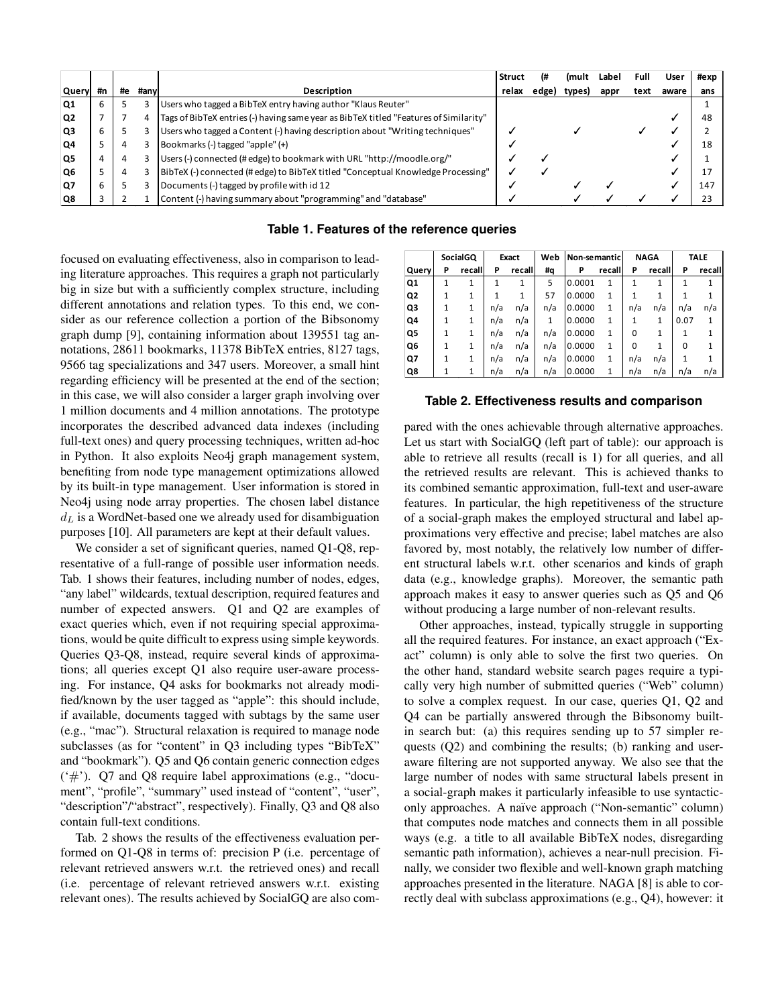|                |    |    |      |                                                                                       | <b>Struct</b> |      | (mult | Label | Full | User  | #exp |
|----------------|----|----|------|---------------------------------------------------------------------------------------|---------------|------|-------|-------|------|-------|------|
| Query          | #n | #e | #anv | Description                                                                           | relax         | edge | types | appr  | text | aware | ans  |
| Q1             | 6  |    |      | Users who tagged a BibTeX entry having author "Klaus Reuter"                          |               |      |       |       |      |       |      |
| Q <sub>2</sub> |    |    |      | Tags of BibTeX entries (-) having same year as BibTeX titled "Features of Similarity" |               |      |       |       |      |       | 48   |
| Q <sub>3</sub> | 6  |    |      | Users who tagged a Content (-) having description about "Writing techniques"          |               |      |       |       |      |       |      |
| lQ4            |    | 4  |      | Bookmarks (-) tagged "apple" (+)                                                      |               |      |       |       |      |       | 18   |
| Q <sub>5</sub> | 4  | 4  |      | Users (-) connected (#edge) to bookmark with URL "http://moodle.org/"                 |               |      |       |       |      |       |      |
| lQ6            |    | 4  |      | BibTeX (-) connected (#edge) to BibTeX titled "Conceptual Knowledge Processing"       |               |      |       |       |      |       |      |
| Q7             | 6  |    |      | Documents (-) tagged by profile with id 12                                            |               |      |       |       |      |       | 147  |
| Q8             |    |    |      | Content (-) having summary about "programming" and "database"                         |               |      |       |       |      |       | 23   |

#### **Table 1. Features of the reference queries**

focused on evaluating effectiveness, also in comparison to leading literature approaches. This requires a graph not particularly big in size but with a sufficiently complex structure, including different annotations and relation types. To this end, we consider as our reference collection a portion of the Bibsonomy graph dump [9], containing information about 139551 tag annotations, 28611 bookmarks, 11378 BibTeX entries, 8127 tags, 9566 tag specializations and 347 users. Moreover, a small hint regarding efficiency will be presented at the end of the section; in this case, we will also consider a larger graph involving over 1 million documents and 4 million annotations. The prototype incorporates the described advanced data indexes (including full-text ones) and query processing techniques, written ad-hoc in Python. It also exploits Neo4j graph management system, benefiting from node type management optimizations allowed by its built-in type management. User information is stored in Neo4j using node array properties. The chosen label distance  $d_L$  is a WordNet-based one we already used for disambiguation purposes [10]. All parameters are kept at their default values.

We consider a set of significant queries, named Q1-Q8, representative of a full-range of possible user information needs. Tab. 1 shows their features, including number of nodes, edges, "any label" wildcards, textual description, required features and number of expected answers. Q1 and Q2 are examples of exact queries which, even if not requiring special approximations, would be quite difficult to express using simple keywords. Queries Q3-Q8, instead, require several kinds of approximations; all queries except Q1 also require user-aware processing. For instance, Q4 asks for bookmarks not already modified/known by the user tagged as "apple": this should include, if available, documents tagged with subtags by the same user (e.g., "mac"). Structural relaxation is required to manage node subclasses (as for "content" in Q3 including types "BibTeX" and "bookmark"). Q5 and Q6 contain generic connection edges ('#'). Q7 and Q8 require label approximations (e.g., "document", "profile", "summary" used instead of "content", "user", "description"/"abstract", respectively). Finally, Q3 and Q8 also contain full-text conditions.

Tab. 2 shows the results of the effectiveness evaluation performed on Q1-Q8 in terms of: precision P (i.e. percentage of relevant retrieved answers w.r.t. the retrieved ones) and recall (i.e. percentage of relevant retrieved answers w.r.t. existing relevant ones). The results achieved by SocialGQ are also com-

|                | SocialGQ |        | Exact |              | Web | Non-semantic |              | <b>NAGA</b> |              | <b>TALE</b> |        |
|----------------|----------|--------|-------|--------------|-----|--------------|--------------|-------------|--------------|-------------|--------|
| Query          | Ρ        | recall | P     | recall       | #q  | P            | recall       | P           | recall       | P           | recall |
| Q <sub>1</sub> | 1        | 1      | 1     | $\mathbf{1}$ | 5   | 0.0001       | $\mathbf{1}$ | 1           | 1            | 1           | 1      |
| Q <sub>2</sub> |          | 1      |       | $\mathbf{1}$ | 57  | 0.0000       | 1            | 1           | $\mathbf{1}$ |             | 1      |
| Q3             |          | 1      | n/a   | n/a          | n/a | 0.0000       | 1            | n/a         | n/a          | n/a         | n/a    |
| Q4             | 1        | 1      | n/a   | n/a          | 1   | 0.0000       | $\mathbf{1}$ | 1           | 1            | 0.07        | 1      |
| Q5             | 1        | 1      | n/a   | n/a          | n/a | 0.0000       | 1            | 0           | 1            | 1           | 1      |
| Q6             |          | 1      | n/a   | n/a          | n/a | 0.0000       | 1            | 0           | $\mathbf{1}$ | $\Omega$    | 1      |
| Q7             |          | 1      | n/a   | n/a          | n/a | 0.0000       | 1            | n/a         | n/a          | 1           |        |
| Q8             |          | 1      | n/a   | n/a          | n/a | 0.0000       | $\mathbf{1}$ | n/a         | n/a          | n/a         | n/a    |

#### **Table 2. Effectiveness results and comparison**

pared with the ones achievable through alternative approaches. Let us start with SocialGQ (left part of table): our approach is able to retrieve all results (recall is 1) for all queries, and all the retrieved results are relevant. This is achieved thanks to its combined semantic approximation, full-text and user-aware features. In particular, the high repetitiveness of the structure of a social-graph makes the employed structural and label approximations very effective and precise; label matches are also favored by, most notably, the relatively low number of different structural labels w.r.t. other scenarios and kinds of graph data (e.g., knowledge graphs). Moreover, the semantic path approach makes it easy to answer queries such as Q5 and Q6 without producing a large number of non-relevant results.

Other approaches, instead, typically struggle in supporting all the required features. For instance, an exact approach ("Exact" column) is only able to solve the first two queries. On the other hand, standard website search pages require a typically very high number of submitted queries ("Web" column) to solve a complex request. In our case, queries Q1, Q2 and Q4 can be partially answered through the Bibsonomy builtin search but: (a) this requires sending up to 57 simpler requests (Q2) and combining the results; (b) ranking and useraware filtering are not supported anyway. We also see that the large number of nodes with same structural labels present in a social-graph makes it particularly infeasible to use syntacticonly approaches. A naïve approach ("Non-semantic" column) that computes node matches and connects them in all possible ways (e.g. a title to all available BibTeX nodes, disregarding semantic path information), achieves a near-null precision. Finally, we consider two flexible and well-known graph matching approaches presented in the literature. NAGA [8] is able to correctly deal with subclass approximations (e.g., Q4), however: it